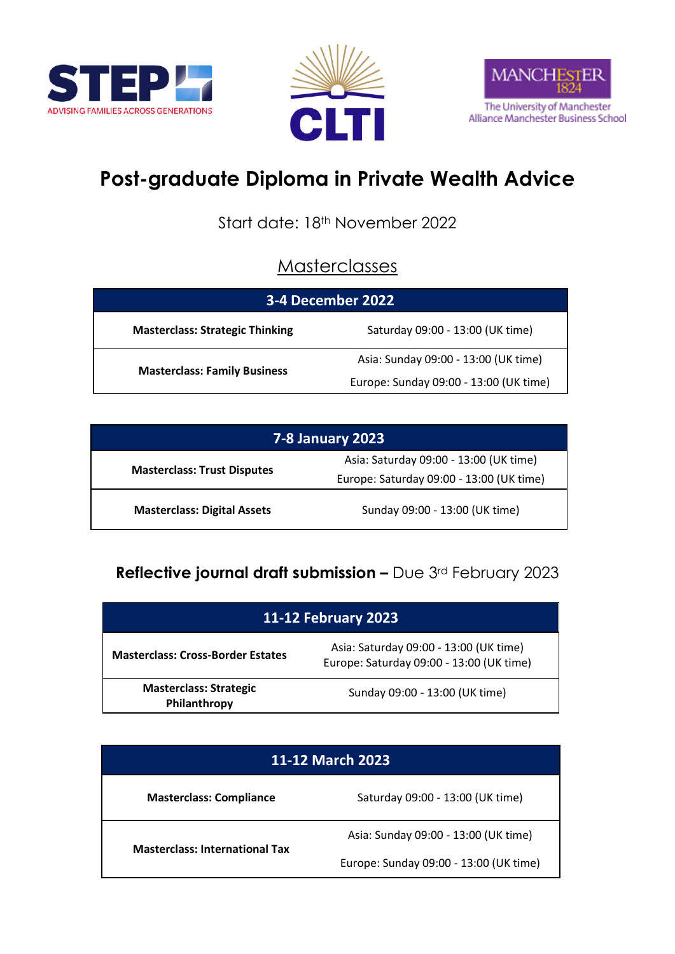





# **Post-graduate Diploma in Private Wealth Advice**

Start date: 18<sup>th</sup> November 2022

#### **Masterclasses**

| <b>3-4 December 2022</b>               |                                        |  |
|----------------------------------------|----------------------------------------|--|
| <b>Masterclass: Strategic Thinking</b> | Saturday 09:00 - 13:00 (UK time)       |  |
| <b>Masterclass: Family Business</b>    | Asia: Sunday 09:00 - 13:00 (UK time)   |  |
|                                        | Europe: Sunday 09:00 - 13:00 (UK time) |  |

| <b>7-8 January 2023</b>            |                                                                                    |  |
|------------------------------------|------------------------------------------------------------------------------------|--|
| <b>Masterclass: Trust Disputes</b> | Asia: Saturday 09:00 - 13:00 (UK time)<br>Europe: Saturday 09:00 - 13:00 (UK time) |  |
| <b>Masterclass: Digital Assets</b> | Sunday 09:00 - 13:00 (UK time)                                                     |  |

### **Reflective journal draft submission –** Due 3rd February 2023

| <b>11-12 February 2023</b>                    |                                                                                    |  |
|-----------------------------------------------|------------------------------------------------------------------------------------|--|
| <b>Masterclass: Cross-Border Estates</b>      | Asia: Saturday 09:00 - 13:00 (UK time)<br>Europe: Saturday 09:00 - 13:00 (UK time) |  |
| <b>Masterclass: Strategic</b><br>Philanthropy | Sunday 09:00 - 13:00 (UK time)                                                     |  |

| 11-12 March 2023                      |                                        |
|---------------------------------------|----------------------------------------|
| <b>Masterclass: Compliance</b>        | Saturday 09:00 - 13:00 (UK time)       |
| <b>Masterclass: International Tax</b> | Asia: Sunday 09:00 - 13:00 (UK time)   |
|                                       | Europe: Sunday 09:00 - 13:00 (UK time) |